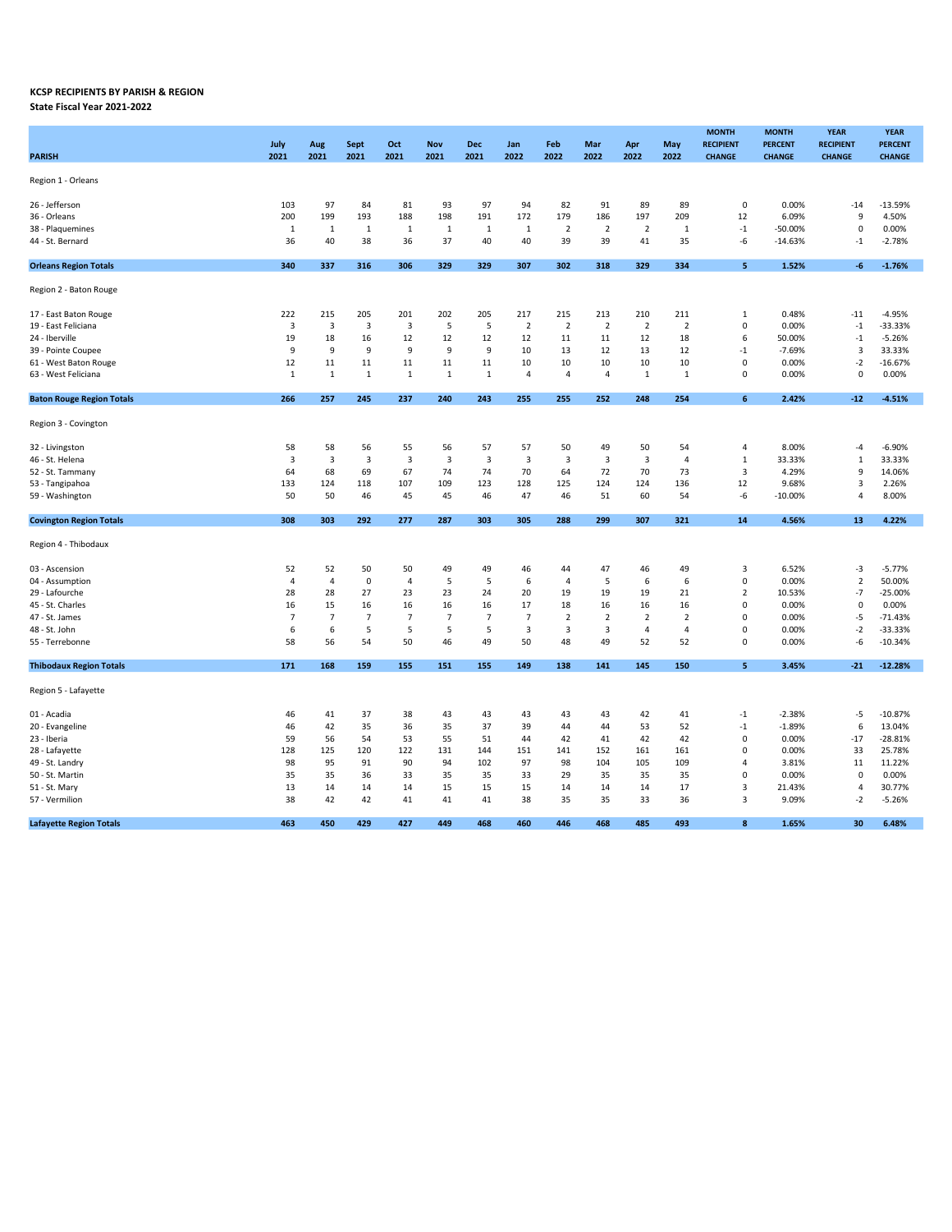## KCSP RECIPIENTS BY PARISH & REGION

State Fiscal Year 2021-2022

| PARISH                           | July<br>2021            | Aug<br>2021    | Sept<br>2021   | Oct<br>2021    | <b>Nov</b><br>2021 | Dec<br>2021    | Jan<br>2022             | Feb<br>2022    | Mar<br>2022    | Apr<br>2022             | May<br>2022    | <b>MONTH</b><br><b>RECIPIENT</b><br><b>CHANGE</b> | <b>MONTH</b><br><b>PERCENT</b><br><b>CHANGE</b> | <b>YEAR</b><br><b>RECIPIENT</b><br><b>CHANGE</b> | <b>YEAR</b><br><b>PERCENT</b><br><b>CHANGE</b> |  |
|----------------------------------|-------------------------|----------------|----------------|----------------|--------------------|----------------|-------------------------|----------------|----------------|-------------------------|----------------|---------------------------------------------------|-------------------------------------------------|--------------------------------------------------|------------------------------------------------|--|
| Region 1 - Orleans               |                         |                |                |                |                    |                |                         |                |                |                         |                |                                                   |                                                 |                                                  |                                                |  |
| 26 - Jefferson                   | 103                     | 97             | 84             | 81             | 93                 | 97             | 94                      | 82             | 91             | 89                      | 89             | $\mathbf 0$                                       | 0.00%                                           | $-14$                                            | $-13.59%$                                      |  |
| 36 - Orleans                     | 200                     | 199            | 193            | 188            | 198                | 191            | 172                     | 179            | 186            | 197                     | 209            | 12                                                | 6.09%                                           | 9                                                | 4.50%                                          |  |
| 38 - Plaquemines                 | 1                       | 1              | 1              | 1              | 1                  | $\mathbf{1}$   | 1                       | $\overline{2}$ | $\overline{2}$ | $\overline{2}$          | 1              | $\mathbf{-1}$                                     | $-50.00%$                                       | $\mathsf 0$                                      | 0.00%                                          |  |
| 44 - St. Bernard                 | 36                      | 40             | 38             | 36             | 37                 | 40             | 40                      | 39             | 39             | 41                      | 35             | -6                                                | $-14.63%$                                       | $-1$                                             | $-2.78%$                                       |  |
|                                  |                         |                |                |                |                    |                |                         |                |                |                         |                |                                                   |                                                 |                                                  |                                                |  |
| <b>Orleans Region Totals</b>     | 340                     | 337            | 316            | 306            | 329                | 329            | 307                     | 302            | 318            | 329                     | 334            | 5                                                 | 1.52%                                           | $-6$                                             | $-1.76%$                                       |  |
| Region 2 - Baton Rouge           |                         |                |                |                |                    |                |                         |                |                |                         |                |                                                   |                                                 |                                                  |                                                |  |
| 17 - East Baton Rouge            | 222                     | 215            | 205            | 201            | 202                | 205            | 217                     | 215            | 213            | 210                     | 211            | 1                                                 | 0.48%                                           | $-11$                                            | $-4.95%$                                       |  |
| 19 - East Feliciana              | 3                       | 3              | 3              | 3              | 5                  | 5              | $\overline{2}$          | $\mathbf 2$    | $\overline{2}$ | $\overline{2}$          | $\overline{2}$ | $\pmb{0}$                                         | 0.00%                                           | $^{\circ}1$                                      | $-33.33%$                                      |  |
| 24 - Iberville                   | 19                      | 18             | 16             | 12             | 12                 | 12             | 12                      | 11             | 11             | 12                      | 18             | 6                                                 | 50.00%                                          | $-1$                                             | $-5.26%$                                       |  |
| 39 - Pointe Coupee               | 9                       | 9              | 9              | 9              | 9                  | 9              | 10                      | 13             | 12             | 13                      | 12             | $-1$                                              | $-7.69%$                                        | 3                                                | 33.33%                                         |  |
| 61 - West Baton Rouge            | 12                      | 11             | 11             | 11             | 11                 | 11             | 10                      | 10             | 10             | 10                      | 10             | $\mathbf 0$                                       | 0.00%                                           | $-2$                                             | $-16.67%$                                      |  |
| 63 - West Feliciana              | 1                       | $\mathbf{1}$   | 1              | $1\,$          | $\mathbf{1}$       | $\mathbf{1}$   | $\overline{4}$          | $\overline{4}$ | $\overline{4}$ | $\mathbf{1}$            | $\mathbf{1}$   | $\mathbf 0$                                       | 0.00%                                           | $\mathsf 0$                                      | 0.00%                                          |  |
|                                  |                         |                |                |                |                    |                |                         |                |                |                         |                |                                                   |                                                 |                                                  |                                                |  |
| <b>Baton Rouge Region Totals</b> | 266                     | 257            | 245            | 237            | 240                | 243            | 255                     | 255            | 252            | 248                     | 254            | 6                                                 | 2.42%                                           | $-12$                                            | $-4.51%$                                       |  |
| Region 3 - Covington             |                         |                |                |                |                    |                |                         |                |                |                         |                |                                                   |                                                 |                                                  |                                                |  |
| 32 - Livingston                  | 58                      | 58             | 56             | 55             | 56                 | 57             | 57                      | 50             | 49             | 50                      | 54             | 4                                                 | 8.00%                                           | -4                                               | $-6.90%$                                       |  |
| 46 - St. Helena                  | $\overline{\mathbf{3}}$ | 3              | 3              | 3              | 3                  | 3              | $\overline{\mathbf{3}}$ | 3              | 3              | $\overline{\mathbf{3}}$ | $\overline{4}$ | 1                                                 | 33.33%                                          | $\mathbf 1$                                      | 33.33%                                         |  |
| 52 - St. Tammany                 | 64                      | 68             | 69             | 67             | 74                 | 74             | 70                      | 64             | 72             | 70                      | 73             | 3                                                 | 4.29%                                           | 9                                                | 14.06%                                         |  |
| 53 - Tangipahoa                  | 133                     | 124            | 118            | 107            | 109                | 123            | 128                     | 125            | 124            | 124                     | 136            | 12                                                | 9.68%                                           | 3                                                | 2.26%                                          |  |
| 59 - Washington                  | 50                      | 50             | 46             | 45             | 45                 | 46             | 47                      | 46             | 51             | 60                      | 54             | -6                                                | $-10.00%$                                       | $\overline{4}$                                   | 8.00%                                          |  |
| <b>Covington Region Totals</b>   | 308                     | 303            | 292            | 277            | 287                | 303            | 305                     | 288            | 299            | 307                     | 321            | 14                                                | 4.56%                                           | 13                                               | 4.22%                                          |  |
|                                  |                         |                |                |                |                    |                |                         |                |                |                         |                |                                                   |                                                 |                                                  |                                                |  |
| Region 4 - Thibodaux             |                         |                |                |                |                    |                |                         |                |                |                         |                |                                                   |                                                 |                                                  |                                                |  |
| 03 - Ascension                   | 52                      | 52             | 50             | 50             | 49                 | 49             | 46                      | 44             | 47             | 46                      | 49             | 3                                                 | 6.52%                                           | -3                                               | $-5.77%$                                       |  |
| 04 - Assumption                  | $\overline{4}$          | 4              | $\mathbf 0$    | 4              | 5                  | 5              | 6                       | $\overline{4}$ | 5              | 6                       | 6              | $\pmb{0}$                                         | 0.00%                                           | $\overline{2}$                                   | 50.00%                                         |  |
| 29 - Lafourche                   | 28                      | 28             | 27             | 23             | 23                 | 24             | 20                      | 19             | 19             | 19                      | 21             | $\overline{2}$                                    | 10.53%                                          | $-7$                                             | $-25.00%$                                      |  |
| 45 - St. Charles                 | 16                      | 15             | 16             | 16             | 16                 | 16             | 17                      | 18             | 16             | 16                      | 16             | $\pmb{0}$                                         | 0.00%                                           | 0                                                | 0.00%                                          |  |
| 47 - St. James                   | $\overline{7}$          | $\overline{7}$ | $\overline{7}$ | $\overline{7}$ | $\overline{7}$     | $\overline{7}$ | $\overline{7}$          | $\overline{2}$ | $\overline{2}$ | $\overline{2}$          | $\overline{2}$ | $\mathbf 0$                                       | 0.00%                                           | $-5$                                             | $-71.43%$                                      |  |
| 48 - St. John                    | 6                       | 6              | 5              | 5              | 5                  | 5              | 3                       | 3              | 3              | $\overline{a}$          | 4              | $\Omega$                                          | 0.00%                                           | $-2$                                             | $-33.33%$                                      |  |
| 55 - Terrebonne                  | 58                      | 56             | 54             | 50             | 46                 | 49             | 50                      | 48             | 49             | 52                      | 52             | $\mathbf 0$                                       | 0.00%                                           | -6                                               | $-10.34%$                                      |  |
| <b>Thibodaux Region Totals</b>   | 171                     | 168            | 159            | 155            | 151                | 155            | 149                     | 138            | 141            | 145                     | 150            | 5                                                 | 3.45%                                           | $-21$                                            | $-12.28%$                                      |  |
| Region 5 - Lafayette             |                         |                |                |                |                    |                |                         |                |                |                         |                |                                                   |                                                 |                                                  |                                                |  |
| 01 - Acadia                      | 46                      | 41             | 37             | 38             | 43                 | 43             | 43                      | 43             | 43             | 42                      | 41             | $-1$                                              | $-2.38%$                                        | -5                                               | $-10.87%$                                      |  |
| 20 - Evangeline                  | 46                      | 42             | 35             | 36             | 35                 | 37             | 39                      | 44             | 44             | 53                      | 52             | $^{\circ}1$                                       | $-1.89%$                                        | 6                                                | 13.04%                                         |  |
| 23 - Iberia                      | 59                      | 56             | 54             | 53             | 55                 | 51             | 44                      | 42             | 41             | 42                      | 42             | $\pmb{0}$                                         | 0.00%                                           | $-17$                                            | $-28.81%$                                      |  |
| 28 - Lafayette                   | 128                     | 125            | 120            | 122            | 131                | 144            | 151                     | 141            | 152            | 161                     | 161            | $\mathbf 0$                                       | 0.00%                                           | 33                                               | 25.78%                                         |  |
| 49 - St. Landry                  | 98                      | 95             | 91             | 90             | 94                 | 102            | 97                      | 98             | 104            | 105                     | 109            | 4                                                 | 3.81%                                           | 11                                               | 11.22%                                         |  |
| 50 - St. Martin                  | 35                      | 35             | 36             | 33             | 35                 | 35             | 33                      | 29             | 35             | 35                      | 35             | $\mathbf 0$                                       | 0.00%                                           | $\mathbf 0$                                      | 0.00%                                          |  |
|                                  |                         |                |                |                |                    |                |                         |                |                |                         |                |                                                   |                                                 | $\overline{4}$                                   |                                                |  |
| 51 - St. Mary<br>57 - Vermilion  | 13<br>38                | 14<br>42       | 14<br>42       | 14<br>41       | 15<br>41           | 15<br>41       | 15<br>38                | 14<br>35       | 14<br>35       | 14<br>33                | 17<br>36       | 3<br>3                                            | 21.43%<br>9.09%                                 | $-2$                                             | 30.77%<br>$-5.26%$                             |  |
|                                  |                         |                |                |                |                    |                |                         |                |                |                         |                |                                                   |                                                 |                                                  |                                                |  |
| <b>Lafayette Region Totals</b>   | 463                     | 450            | 429            | 427            | 449                | 468            | 460                     | 446            | 468            | 485                     | 493            | R                                                 | 1.65%                                           | 30                                               | 6.48%                                          |  |